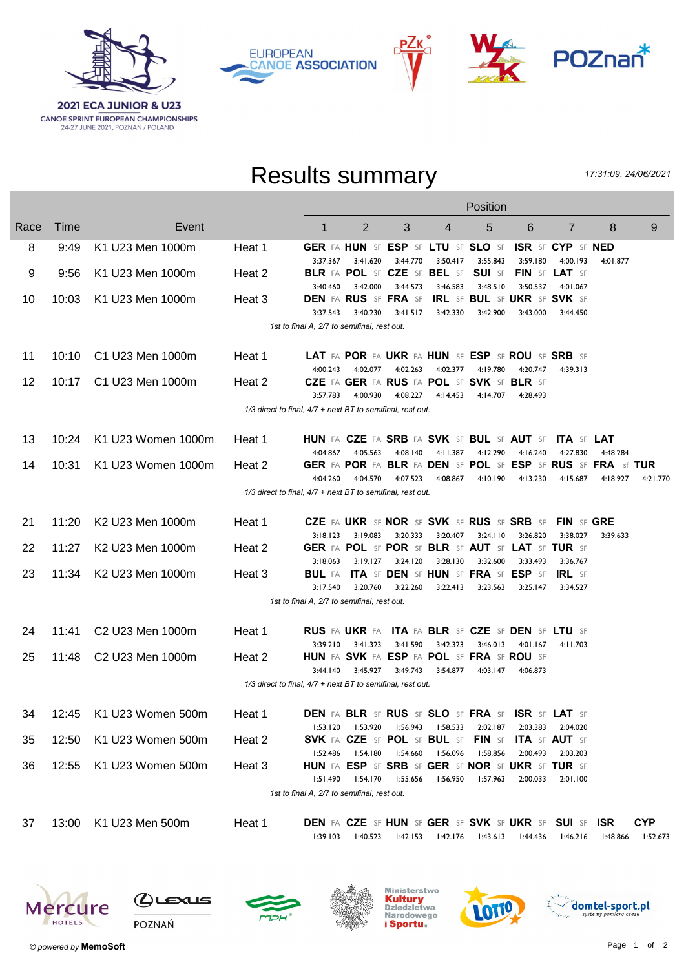

**CANOE SPRINT EUROPEAN CHAMPIONSHIPS**<br>24-27 JUNE 2021, POZNAN / POLAND







## Results summary

17:31:09, 24/06/2021

|      |       |                    | Position |                                                                     |                |                            |                   |                    |                   |                                  |            |            |
|------|-------|--------------------|----------|---------------------------------------------------------------------|----------------|----------------------------|-------------------|--------------------|-------------------|----------------------------------|------------|------------|
| Race | Time  | Event              |          | $\mathbf 1$                                                         | $\overline{2}$ | 3                          | 4                 | 5                  | 6                 | $\overline{7}$                   | 8          | 9          |
| 8    | 9:49  | K1 U23 Men 1000m   | Heat 1   | GER FA HUN SF ESP SF LTU SF SLO SF                                  |                |                            |                   |                    |                   | <b>ISR SF CYP SF NED</b>         |            |            |
|      |       |                    |          | 3:37.367                                                            | 3:41.620       | 3:44.770                   | 3:50.417          | 3:55.843           | 3:59.180          | 4:00.193                         | 4:01.877   |            |
| 9    | 9:56  | K1 U23 Men 1000m   | Heat 2   | BLR FA POL SF CZE SF BEL SF SUI SF                                  |                |                            |                   |                    |                   | FIN SF LAT SF                    |            |            |
| 10   | 10:03 | K1 U23 Men 1000m   | Heat 3   | 3:40.460<br><b>DEN FA RUS SF FRA SF IRL SF BUL SF UKR SF SVK SF</b> | 3:42.000       | 3:44.573                   | 3:46.583          | 3:48.510           | 3:50.537          | 4:01.067                         |            |            |
|      |       |                    |          | 3:37.543                                                            | 3:40.230       | 3:41.517                   | 3:42.330          | 3:42.900           | 3:43.000          | 3:44.450                         |            |            |
|      |       |                    |          | 1st to final A, 2/7 to semifinal, rest out.                         |                |                            |                   |                    |                   |                                  |            |            |
|      |       |                    |          |                                                                     |                |                            |                   |                    |                   |                                  |            |            |
| 11   | 10:10 | C1 U23 Men 1000m   | Heat 1   | LAT FA POR FA UKR FA HUN SF ESP SF ROU SF SRB SF                    |                |                            |                   |                    |                   |                                  |            |            |
|      |       |                    |          | 4:00.243                                                            | 4:02.077       | 4:02.263                   | 4:02.377          | 4:19.780           | 4:20.747          | 4:39.313                         |            |            |
| 12   | 10:17 | C1 U23 Men 1000m   | Heat 2   | CZE FA GER FA RUS FA POL SF SVK SF BLR SF                           |                |                            |                   |                    |                   |                                  |            |            |
|      |       |                    |          | 3:57.783                                                            | 4:00.930       | 4:08.227                   | 4:14.453          | 4:14.707           | 4:28.493          |                                  |            |            |
|      |       |                    |          | $1/3$ direct to final, $4/7$ + next BT to semifinal, rest out.      |                |                            |                   |                    |                   |                                  |            |            |
|      |       |                    |          |                                                                     |                |                            |                   |                    |                   |                                  |            |            |
| 13   | 10:24 | K1 U23 Women 1000m | Heat 1   | HUN FA CZE FA SRB FA SVK SF BUL SF AUT SF ITA SF LAT                |                |                            |                   |                    |                   |                                  |            |            |
|      |       |                    |          | 4:04.867                                                            | 4:05.563       |                            | 4:08.140 4:11.387 |                    | 4:12.290 4:16.240 | 4:27.830                         | 4:48.284   |            |
| 14   | 10:31 | K1 U23 Women 1000m | Heat 2   | GER FA POR FA BLR FA DEN SF POL SF ESP SF RUS SF FRA sf TUR         |                |                            |                   |                    |                   |                                  |            |            |
|      |       |                    |          | 4:04.260                                                            | 4:04.570       | 4:07.523                   | 4:08.867          | 4:10.190           | 4:13.230          | 4:15.687                         | 4:18.927   | 4:21.770   |
|      |       |                    |          | 1/3 direct to final, 4/7 + next BT to semifinal, rest out.          |                |                            |                   |                    |                   |                                  |            |            |
|      |       |                    |          |                                                                     |                |                            |                   |                    |                   |                                  |            |            |
| 21   | 11:20 | K2 U23 Men 1000m   | Heat 1   | CZE FA UKR SF NOR SF SVK SF RUS SF SRB SF FIN SF GRE<br>3:18.123    | 3:19.083       | 3:20.333                   | 3:20.407          | 3:24.110           | 3:26.820          | 3:38.027                         | 3:39.633   |            |
| 22   | 11:27 | K2 U23 Men 1000m   | Heat 2   | GER FA POL SF POR SF BLR SF AUT SF LAT SF TUR SF                    |                |                            |                   |                    |                   |                                  |            |            |
|      |       |                    |          | 3:18.063                                                            |                | 3:19.127 3:24.120 3:28.130 |                   | 3:32.600           | 3:33.493          | 3:36.767                         |            |            |
| 23   | 11:34 | K2 U23 Men 1000m   | Heat 3   | <b>BUL FA ITA SF DEN SF HUN SF FRA SF ESP SF IRL SF</b>             |                |                            |                   |                    |                   |                                  |            |            |
|      |       |                    |          | 3:17.540                                                            | 3:20.760       | 3:22.260                   | 3:22.413          | 3:23.563           | 3:25.147          | 3:34.527                         |            |            |
|      |       |                    |          | 1st to final A, 2/7 to semifinal, rest out.                         |                |                            |                   |                    |                   |                                  |            |            |
|      |       |                    |          |                                                                     |                |                            |                   |                    |                   |                                  |            |            |
| 24   | 11:41 | C2 U23 Men 1000m   | Heat 1   | RUS FA UKR FA ITA FA BLR SF CZE SF DEN SF LTU SF                    |                |                            |                   |                    |                   |                                  |            |            |
|      |       |                    |          | 3:39.210                                                            | 3:41.323       |                            | 3:41.590 3:42.323 | 3:46.013           | 4:01.167          | 4:11.703                         |            |            |
| 25   | 11:48 | C2 U23 Men 1000m   | Heat 2   | <b>HUN</b> FA SVK FA ESP FA POL SF FRA SF ROU SF                    |                |                            |                   |                    |                   |                                  |            |            |
|      |       |                    |          | 3:44.140                                                            | 3:45.927       | 3:49.743                   | 3:54.877          | 4:03.147           | 4:06.873          |                                  |            |            |
|      |       |                    |          | 1/3 direct to final, 4/7 + next BT to semifinal, rest out.          |                |                            |                   |                    |                   |                                  |            |            |
|      |       |                    |          |                                                                     |                |                            |                   |                    |                   |                                  |            |            |
| 34   | 12:45 | K1 U23 Women 500m  | Heat 1   | DEN FA BLR SF RUS SF SLO SF FRA SF ISR SF LAT SF                    |                |                            |                   |                    |                   |                                  |            |            |
|      |       | K1 U23 Women 500m  |          | 1:53.120<br>SVK FA CZE SF POL SF BUL SF                             | 1:53.920       | l:56.943                   | 1:58.533          | 2:02.187           | 2:03.383          | 2:04.020<br><b>ITA SF AUT SF</b> |            |            |
| 35   | 12:50 |                    | Heat 2   | 1:52.486                                                            | 1:54.180       | l:54.660                   | 1:56.096          | FIN SF<br>1:58.856 | 2:00.493          | 2:03.203                         |            |            |
| 36   | 12:55 | K1 U23 Women 500m  | Heat 3   | HUN FA ESP SF SRB SF GER SF NOR SF UKR SF TUR SF                    |                |                            |                   |                    |                   |                                  |            |            |
|      |       |                    |          | 1:51.490                                                            | 1:54.170       | 1:55.656                   | 1:56.950          | 1:57.963           | 2:00.033          | 2:01.100                         |            |            |
|      |       |                    |          | 1st to final A, 2/7 to semifinal, rest out.                         |                |                            |                   |                    |                   |                                  |            |            |
|      |       |                    |          |                                                                     |                |                            |                   |                    |                   |                                  |            |            |
| 37   | 13:00 | K1 U23 Men 500m    | Heat 1   | <b>DEN</b> FA CZE SF HUN SF GER SF SVK SF UKR SF SUI SF             |                |                            |                   |                    |                   |                                  | <b>ISR</b> | <b>CYP</b> |
|      |       |                    |          | 1:39.103                                                            | l:40.523       | 1:42.153                   | 1:42.176          | 1:43.613           | 44.436: ا         | 1:46.216                         | l:48.866   | l:52.673   |
|      |       |                    |          |                                                                     |                |                            |                   |                    |                   |                                  |            |            |